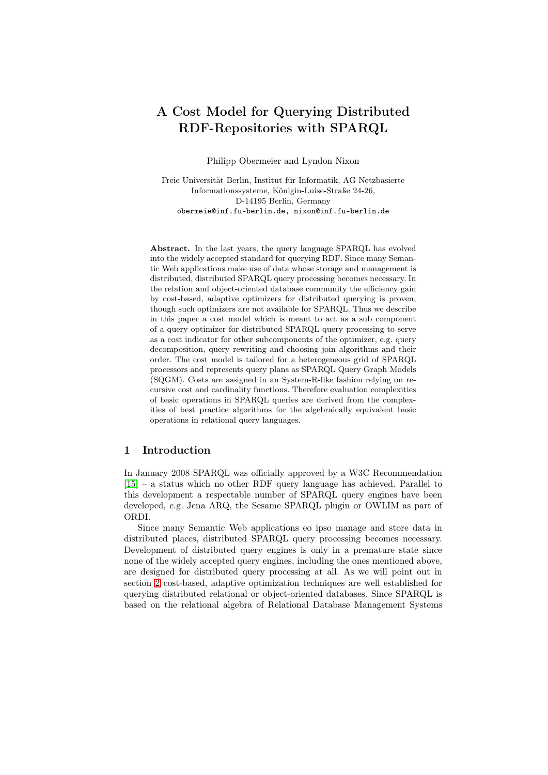# A Cost Model for Querying Distributed RDF-Repositories with SPARQL

Philipp Obermeier and Lyndon Nixon

Freie Universität Berlin, Institut für Informatik, AG Netzbasierte Informationssysteme, Königin-Luise-Straße 24-26, D-14195 Berlin, Germany obermeie@inf.fu-berlin.de, nixon@inf.fu-berlin.de

Abstract. In the last years, the query language SPARQL has evolved into the widely accepted standard for querying RDF. Since many Semantic Web applications make use of data whose storage and management is distributed, distributed SPARQL query processing becomes necessary. In the relation and object-oriented database community the efficiency gain by cost-based, adaptive optimizers for distributed querying is proven, though such optimizers are not available for SPARQL. Thus we describe in this paper a cost model which is meant to act as a sub component of a query optimizer for distributed SPARQL query processing to serve as a cost indicator for other subcomponents of the optimizer, e.g. query decomposition, query rewriting and choosing join algorithms and their order. The cost model is tailored for a heterogeneous grid of SPARQL processors and represents query plans as SPARQL Query Graph Models (SQGM). Costs are assigned in an System-R-like fashion relying on recursive cost and cardinality functions. Therefore evaluation complexities of basic operations in SPARQL queries are derived from the complexities of best practice algorithms for the algebraically equivalent basic operations in relational query languages.

# 1 Introduction

In January 2008 SPARQL was officially approved by a W3C Recommendation [15] – a status which no other RDF query language has achieved. Parallel to this development a respectable number of SPARQL query engines have been developed, e.g. Jena ARQ, the Sesame SPARQL plugin or OWLIM as part of ORDI.

Since many Semantic Web applications eo ipso manage and store data in distributed places, distributed SPARQL query processing becomes necessary. Development of distributed query engines is only in a premature state since none of the widely accepted query engines, including the ones mentioned above, are designed for distributed query processing at all. As we will point out in section 2 cost-based, adaptive optimization techniques are well established for querying distributed relational or object-oriented databases. Since SPARQL is based on the relational algebra of Relational Database Management Systems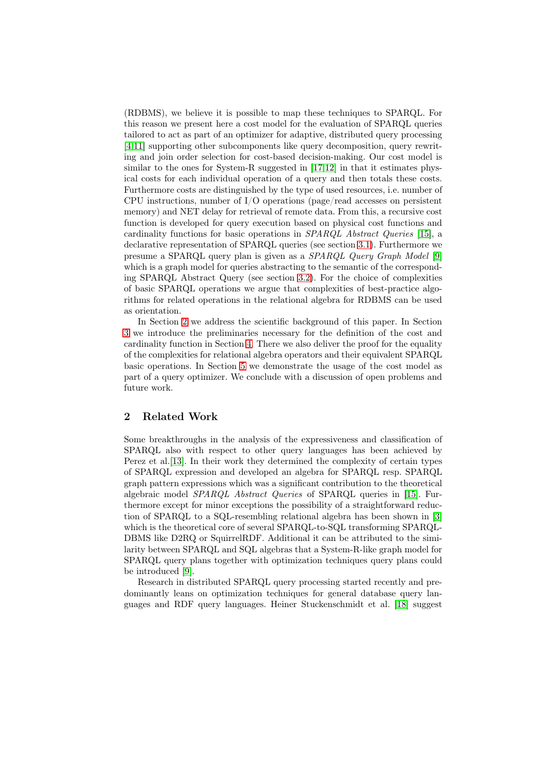(RDBMS), we believe it is possible to map these techniques to SPARQL. For this reason we present here a cost model for the evaluation of SPARQL queries tailored to act as part of an optimizer for adaptive, distributed query processing [4,11] supporting other subcomponents like query decomposition, query rewriting and join order selection for cost-based decision-making. Our cost model is similar to the ones for System-R suggested in [17,12] in that it estimates physical costs for each individual operation of a query and then totals these costs. [Fu](#page-15-0)[rth](#page-15-1)ermore costs are distinguished by the type of used resources, i.e. number of CPU instructions, number of I/O operations (page/read accesses on persistent memory) and NET delay for retrieval of remote [da](#page-15-2)[ta.](#page-15-3) From this, a recursive cost function is developed for query execution based on physical cost functions and cardinality functions for basic operations in *SPARQL Abstract Queries* [15], a declarative representation of SPARQL queries (see section 3.1). Furthermore we presume a SPARQL query plan is given as a *SPARQL Query Graph Model* [9] which is a graph model for queries abstracting to the semantic of the corresponding SPARQL Abstract Query (see section 3.2). For the choice of compl[exit](#page-15-4)ies of basic SPARQL operations we argue that complexities [of b](#page-2-0)est-practice algorithms for related operations in the relational algebra for RDBMS can be us[ed](#page-15-5) as orientation.

In Section 2 we address the scientific [backg](#page-3-0)round of this paper. In Section 3 we introduce the preliminaries necessary for the definition of the cost and cardinality function in Section 4. There we also deliver the proof for the equality of the complexities for relational algebra operators and their equivalent SPARQL basic operatio[ns](#page-1-0). In Section 5 we demonstrate the usage of the cost model as [pa](#page-2-1)rt of a query optimizer. We conclude with a discussion of open problems and future work.

# 2 Related Work

<span id="page-1-0"></span>Some breakthroughs in the analysis of the expressiveness and classification of SPARQL also with respect to other query languages has been achieved by Perez et al.[13]. In their work they determined the complexity of certain types of SPARQL expression and developed an algebra for SPARQL resp. SPARQL graph pattern expressions which was a significant contribution to the theoretical algebraic model *SPARQL Abstract Queries* of SPARQL queries in [15]. Furthermore e[xcep](#page-15-6)t for minor exceptions the possibility of a straightforward reduction of SPARQL to a SQL-resembling relational algebra has been shown in [3] which is the theoretical core of several SPARQL-to-SQL transforming SPARQL-DBMS like D2RQ or SquirrelRDF. Additional it can be attributed to [the](#page-15-4) similarity between SPARQL and SQL algebras that a System-R-like graph model for SPARQL query plans together with optimization techniques query plans co[uld](#page-15-7) be introduced [9].

Research in distributed SPARQL query processing started recently and predominantly leans on optimization techniques for general database query languages and RDF query languages. Heiner Stuckenschmidt et al. [18] suggest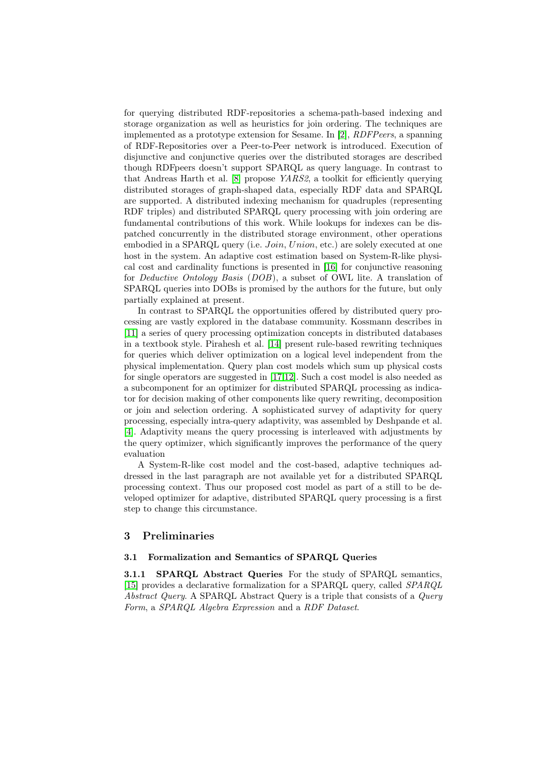for querying distributed RDF-repositories a schema-path-based indexing and storage organization as well as heuristics for join ordering. The techniques are implemented as a prototype extension for Sesame. In [2], *RDFPeers*, a spanning of RDF-Repositories over a Peer-to-Peer network is introduced. Execution of disjunctive and conjunctive queries over the distributed storages are described though RDFpeers doesn't support SPARQL as query language. In contrast to that Andreas Harth et al. [8] propose *YARS2*, a tool[kit](#page-15-8) for efficiently querying distributed storages of graph-shaped data, especially RDF data and SPARQL are supported. A distributed indexing mechanism for quadruples (representing RDF triples) and distributed SPARQL query processing with join ordering are fundamental contributions [of](#page-15-9) this work. While lookups for indexes can be dispatched concurrently in the distributed storage environment, other operations embodied in a SPARQL query (i.e. *Join*, *Union*, etc.) are solely executed at one host in the system. An adaptive cost estimation based on System-R-like physical cost and cardinality functions is presented in [16] for conjunctive reasoning for *Deductive Ontology Basis* (*DOB*), a subset of OWL lite. A translation of SPARQL queries into DOBs is promised by the authors for the future, but only partially explained at present.

In contrast to SPARQL the opportunities offe[red](#page-15-10) by distributed query processing are vastly explored in the database community. Kossmann describes in [11] a series of query processing optimization concepts in distributed databases in a textbook style. Pirahesh et al. [14] present rule-based rewriting techniques for queries which deliver optimization on a logical level independent from the physical implementation. Query plan cost models which sum up physical costs [for](#page-15-1) single operators are suggested in [17,12]. Such a cost model is also needed as a subcomponent for an optimizer fo[r di](#page-15-11)stributed SPARQL processing as indicator for decision making of other components like query rewriting, decomposition or join and selection ordering. A sophisticated survey of adaptivity for query processing, especially intra-query ad[apti](#page-15-2)[vit](#page-15-3)y, was assembled by Deshpande et al. [4]. Adaptivity means the query processing is interleaved with adjustments by the query optimizer, which significantly improves the performance of the query evaluation

A System-R-like cost model and the cost-based, adaptive techniques ad[dr](#page-15-0)essed in the last paragraph are not available yet for a distributed SPARQL processing context. Thus our proposed cost model as part of a still to be developed optimizer for adaptive, distributed SPARQL query processing is a first step to change this circumstance.

## 3 Preliminaries

#### 3.1 Formalization and Semantics of SPARQL Queries

<span id="page-2-1"></span><span id="page-2-0"></span>3.1.1 SPARQL Abstract Queries For the study of SPARQL semantics, [15] provides a declarative formalization for a SPARQL query, called *SPARQL Abstract Query*. A SPARQL Abstract Query is a triple that consists of a *Query Form*, a *SPARQL Algebra Expression* and a *RDF Dataset*.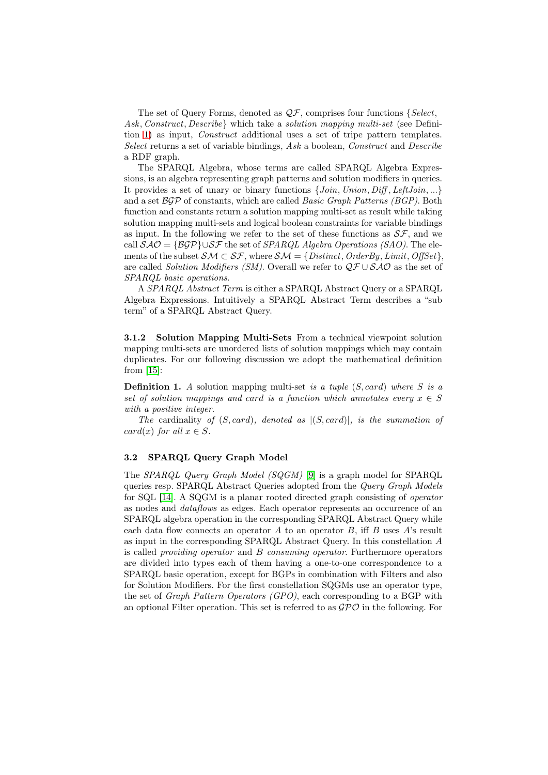The set of Query Forms, denoted as *QF*, comprises four functions *{Select, Ask, Construct, Describe}* which take a *solution mapping multi-set* (see Definition 1) as input, *Construct* additional uses a set of tripe pattern templates. *Select* returns a set of variable bindings, *Ask* a boolean, *Construct* and *Describe* a RDF graph.

The SPARQL Algebra, whose terms are called SPARQL Algebra Expressions[, i](#page-3-1)s an algebra representing graph patterns and solution modifiers in queries. It provides a set of unary or binary functions *{Join, Union, Diff , LeftJoin, ...}* and a set *BGP* of constants, which are called *Basic Graph Patterns (BGP)*. Both function and constants return a solution mapping multi-set as result while taking solution mapping multi-sets and logical boolean constraints for variable bindings as input. In the following we refer to the set of these functions as *SF*, and we call *SAO* = *{BGP}∪SF* the set of *SPARQL Algebra Operations (SAO)*. The elements of the subset  $\mathcal{SM} \subset \mathcal{SF}$ , where  $\mathcal{SM} = \{Distinct, OrderBy, Limit, OffSet\}$ are called *Solution Modifiers (SM)*. Overall we refer to *QF ∪ SAO* as the set of *SPARQL basic operations*.

A *SPARQL Abstract Term* is either a SPARQL Abstract Query or a SPARQL Algebra Expressions. Intuitively a SPARQL Abstract Term describes a "sub term" of a SPARQL Abstract Query.

3.1.2 Solution Mapping Multi-Sets From a technical viewpoint solution mapping multi-sets are unordered lists of solution mappings which may contain duplicates. For our following discussion we adopt the mathematical definition from  $|15|$ :

Definition 1. *A* solution mapping multi-set *is a tuple* (*S, card*) *where S is a set of solution mappings and card is a function which annotates every*  $x \in S$ *with a positive integer.*

<span id="page-3-1"></span>*T[he](#page-15-4)* cardinality *of* (*S, card*)*, denoted as |*(*S, card*)*|, is the summation of card*(*x*) *for all*  $x \in S$ *.* 

## 3.2 SPARQL Query Graph Model

<span id="page-3-0"></span>The *SPARQL Query Graph Model (SQGM)* [9] is a graph model for SPARQL queries resp. SPARQL Abstract Queries adopted from the *Query Graph Models* for SQL [14]. A SQGM is a planar rooted directed graph consisting of *operator* as nodes and *dataflows* as edges. Each operator represents an occurrence of an SPARQL algebra operation in the correspondi[ng](#page-15-5) SPARQL Abstract Query while each data flow connects an operator *A* to an operator *B*, iff *B* uses *A*'s result as input [in t](#page-15-11)he corresponding SPARQL Abstract Query. In this constellation *A* is called *providing operator* and *B consuming operator*. Furthermore operators are divided into types each of them having a one-to-one correspondence to a SPARQL basic operation, except for BGPs in combination with Filters and also for Solution Modifiers. For the first constellation SQGMs use an operator type, the set of *Graph Pattern Operators (GPO)*, each corresponding to a BGP with an optional Filter operation. This set is referred to as *GPO* in the following. For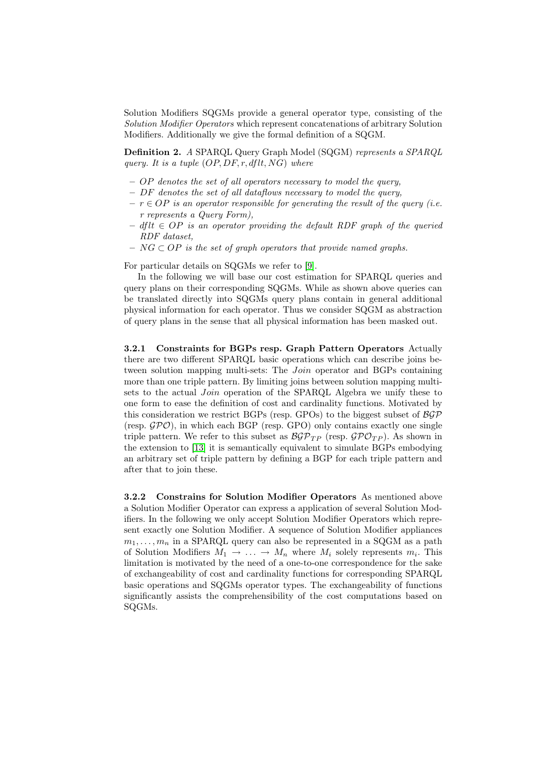Solution Modifiers SQGMs provide a general operator type, consisting of the *Solution Modifier Operators* which represent concatenations of arbitrary Solution Modifiers. Additionally we give the formal definition of a SQGM.

Definition 2. *A* SPARQL Query Graph Model (SQGM) *represents a SPARQL query. It is a tuple* (*OP, DF, r, dflt, NG*) *where*

- *OP denotes the set of all operators necessary to model the query,*
- *DF denotes the set of all dataflows necessary to model the query,*
- *r ∈ OP is an operator responsible for generating the result of the query (i.e. r represents a Query Form),*
- *dflt ∈ OP is an operator providing the default RDF graph of the queried RDF dataset,*
- *NG ⊂ OP is the set of graph operators that provide named graphs.*

For particular details on SQGMs we refer to [9].

In the following we will base our cost estimation for SPARQL queries and query plans on their corresponding SQGMs. While as shown above queries can be translated directly into SQGMs query plans contain in general additional physical information for each operator. Thus [we](#page-15-5) consider SQGM as abstraction of query plans in the sense that all physical information has been masked out.

<span id="page-4-0"></span>3.2.1 Constraints for BGPs resp. Graph Pattern Operators Actually there are two different SPARQL basic operations which can describe joins between solution mapping multi-sets: The *Join* operator and BGPs containing more than one triple pattern. By limiting joins between solution mapping multisets to the actual *Join* operation of the SPARQL Algebra we unify these to one form to ease the definition of cost and cardinality functions. Motivated by this consideration we restrict BGPs (resp. GPOs) to the biggest subset of *BGP* (resp. *GPO*), in which each BGP (resp. GPO) only contains exactly one single triple pattern. We refer to this subset as  $\mathcal{BGP}_{TP}$  (resp.  $\mathcal{GPO}_{TP}$ ). As shown in the extension to [13] it is semantically equivalent to simulate BGPs embodying an arbitrary set of triple pattern by defining a BGP for each triple pattern and after that to join these.

<span id="page-4-1"></span>3.2.2 Constra[ins](#page-15-6) for Solution Modifier Operators As mentioned above a Solution Modifier Operator can express a application of several Solution Modifiers. In the following we only accept Solution Modifier Operators which represent exactly one Solution Modifier. A sequence of Solution Modifier appliances  $m_1, \ldots, m_n$  in a SPARQL query can also be represented in a SQGM as a path of Solution Modifiers  $M_1 \rightarrow \ldots \rightarrow M_n$  where  $M_i$  solely represents  $m_i$ . This limitation is motivated by the need of a one-to-one correspondence for the sake of exchangeability of cost and cardinality functions for corresponding SPARQL basic operations and SQGMs operator types. The exchangeability of functions significantly assists the comprehensibility of the cost computations based on SQGMs.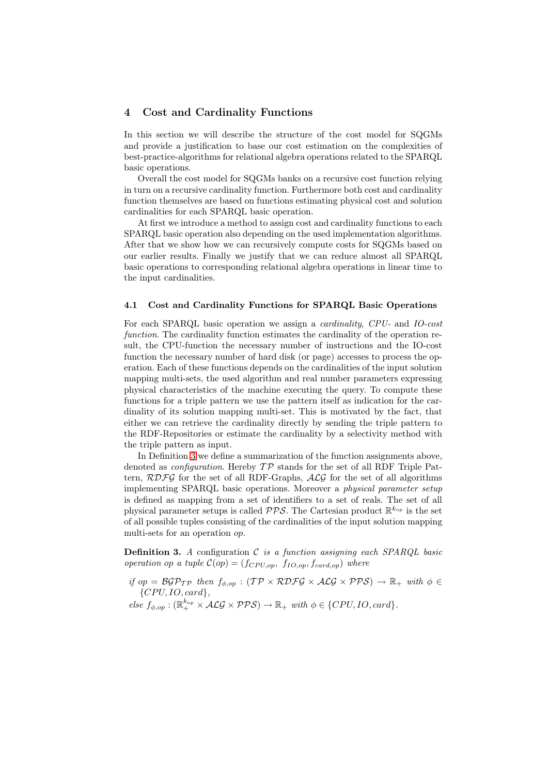# 4 Cost and Cardinality Functions

In this section we will describe the structure of the cost model for SQGMs and provide a justification to base our cost estimation on the complexities of best-practice-algorithms for relational algebra operations related to the SPARQL basic operations.

Overall the cost model for SQGMs banks on a recursive cost function relying in turn on a recursive cardinality function. Furthermore both cost and cardinality function themselves are based on functions estimating physical cost and solution cardinalities for each SPARQL basic operation.

At first we introduce a method to assign cost and cardinality functions to each SPARQL basic operation also depending on the used implementation algorithms. After that we show how we can recursively compute costs for SQGMs based on our earlier results. Finally we justify that we can reduce almost all SPARQL basic operations to corresponding relational algebra operations in linear time to the input cardinalities.

#### 4.1 Cost and Cardinality Functions for SPARQL Basic Operations

For each SPARQL basic operation we assign a *cardinality*, *CPU-* and *IO-cost function*. The cardinality function estimates the cardinality of the operation result, the CPU-function the necessary number of instructions and the IO-cost function the necessary number of hard disk (or page) accesses to process the operation. Each of these functions depends on the cardinalities of the input solution mapping multi-sets, the used algorithm and real number parameters expressing physical characteristics of the machine executing the query. To compute these functions for a triple pattern we use the pattern itself as indication for the cardinality of its solution mapping multi-set. This is motivated by the fact, that either we can retrieve the cardinality directly by sending the triple pattern to the RDF-Repositories or estimate the cardinality by a selectivity method with the triple pattern as input.

In Definition 3 we define a summarization of the function assignments above, denoted as *configuration*. Hereby *T P* stands for the set of all RDF Triple Pattern, *RDFG* for the set of all RDF-Graphs, *ALG* for the set of all algorithms implementing SPARQL basic operations. Moreover a *physical parameter setup* is defined as m[app](#page-5-0)ing from a set of identifiers to a set of reals. The set of all physical parameter setups is called *PPS*. The Cartesian product R *<sup>k</sup>op* is the set of all possible tuples consisting of the cardinalities of the input solution mapping multi-sets for an operation *op*.

Definition 3. *A* configuration *C is a function assigning each SPARQL basic operation op a tuple*  $C(op) = (f_{CPU, op}, f_{IO, op}, f_{card, op})$  *where* 

- <span id="page-5-0"></span>*if*  $op = \mathcal{BGP}_{\mathcal{TP}}$  *then*  $f_{\phi,op} : (\mathcal{TP} \times \mathcal{RDFG} \times \mathcal{ALG} \times \mathcal{PPS}) \rightarrow \mathbb{R}_+$  with  $\phi \in$ *{CP U, IO, card},*
- $else$   $f_{\phi,op}: (\mathbb{R}^{k_{op}}_{+} \times \mathcal{ALG} \times \mathcal{PPS}) \rightarrow \mathbb{R}_{+} with \phi \in \{CPU, IO, card\}.$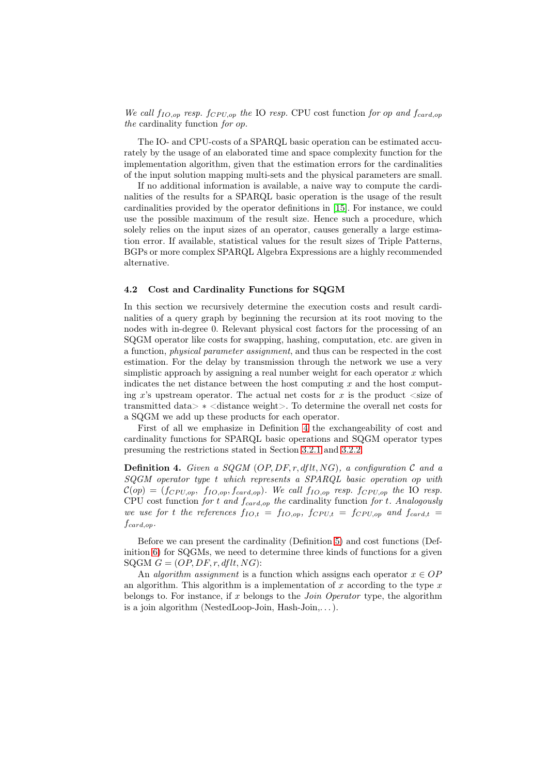*We call*  $f_{IO,op}$  *resp.*  $f_{CPU,op}$  *the* IO *resp.* CPU cost function *for op and*  $f_{card,op}$ *the* cardinality function *for op.*

The IO- and CPU-costs of a SPARQL basic operation can be estimated accurately by the usage of an elaborated time and space complexity function for the implementation algorithm, given that the estimation errors for the cardinalities of the input solution mapping multi-sets and the physical parameters are small.

If no additional information is available, a naive way to compute the cardinalities of the results for a SPARQL basic operation is the usage of the result cardinalities provided by the operator definitions in [15]. For instance, we could use the possible maximum of the result size. Hence such a procedure, which solely relies on the input sizes of an operator, causes generally a large estimation error. If available, statistical values for the result sizes of Triple Patterns, BGPs or more complex SPARQL Algebra Expression[s ar](#page-15-4)e a highly recommended alternative.

#### 4.2 Cost and Cardinality Functions for SQGM

In this section we recursively determine the execution costs and result cardinalities of a query graph by beginning the recursion at its root moving to the nodes with in-degree 0. Relevant physical cost factors for the processing of an SQGM operator like costs for swapping, hashing, computation, etc. are given in a function, *physical parameter assignment*, and thus can be respected in the cost estimation. For the delay by transmission through the network we use a very simplistic approach by assigning a real number weight for each operator *x* which indicates the net distance between the host computing *x* and the host computing  $x$ 's upstream operator. The actual net costs for  $x$  is the product  $\langle$  size of transmitted data> *∗* <distance weight>. To determine the overall net costs for a SQGM we add up these products for each operator.

First of all we emphasize in Definition 4 the exchangeability of cost and cardinality functions for SPARQL basic operations and SQGM operator types presuming the restrictions stated in Section 3.2.1 and 3.2.2.

<span id="page-6-0"></span>**Definition 4.** Given a SQGM (OP, DF, r, [df](#page-6-0)lt, NG), a configuration  $C$  and a *SQGM operator type t which represents a SPARQL basic operation op with*  $C(op) = (f_{CPU,op}, f_{IO,op}, f_{card,op})$ *. We call*  $f_{IO,op}$  *resp.*  $f_{CPU,op}$  *the* IO *resp.* CPU cost function *for t and fcard,op the* ca[rdinali](#page-4-0)ty f[unctio](#page-4-1)n *for t. Analogously we use for t the references*  $f_{IO,t} = f_{IO,op}$ ,  $f_{CPU,t} = f_{CPU,op}$  and  $f_{card,t} =$ *fcard,op.*

Before we can present the cardinality (Definition 5) and cost functions (Definition 6) for SQGMs, we need to determine three kinds of functions for a given  $SQGM G = (OP, DF, r, dftt, NG)$ :

An *algorithm assignment* is a function which assigns each operator  $x \in OP$ an algorithm. This algorithm is a implementation of *[x](#page-7-0)* according to the type *x* belong[s t](#page-7-1)o. For instance, if *x* belongs to the *Join Operator* type, the algorithm is a join algorithm (NestedLoop-Join, Hash-Join,. . . ).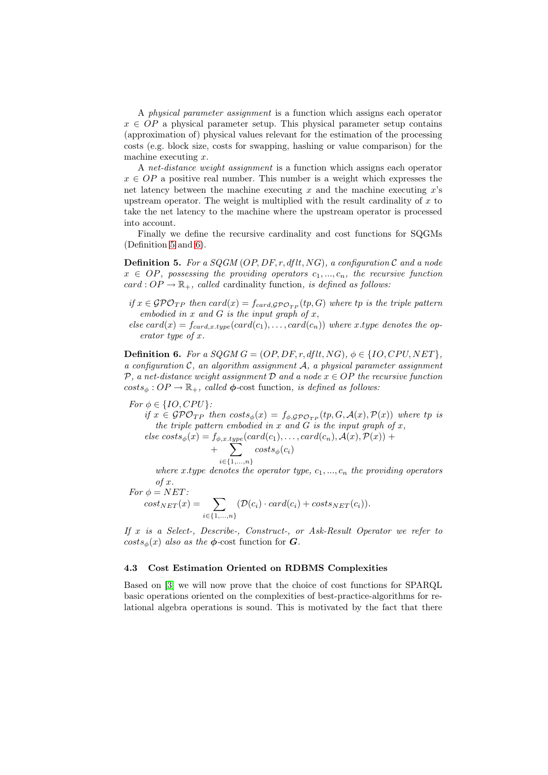A *physical parameter assignment* is a function which assigns each operator  $x \in OP$  a physical parameter setup. This physical parameter setup contains (approximation of) physical values relevant for the estimation of the processing costs (e.g. block size, costs for swapping, hashing or value comparison) for the machine executing *x*.

A *net-distance weight assignment* is a function which assigns each operator  $x \in OP$  a positive real number. This number is a weight which expresses the net latency between the machine executing *x* and the machine executing *x*'s upstream operator. The weight is multiplied with the result cardinality of *x* to take the net latency to the machine where the upstream operator is processed into account.

Finally we define the recursive cardinality and cost functions for SQGMs (Definition 5 and 6).

Definition 5. *For a SQGM* (*OP, DF, r, dflt, NG*)*, a configuration C and a node*  $x \in OP$ *, possessing the providing operators*  $c_1, ..., c_n$ *, the recursive function*  $card: OP \rightarrow \mathbb{R}_+$ *, [ca](#page-7-1)lled* cardinality function*, is defined as follows:* 

- <span id="page-7-0"></span>*if*  $x \in \mathcal{GPO}_{TP}$  *then*  $card(x) = f_{card, \mathcal{GPO}_{TP}}(tp, G)$  *where tp is the triple pattern embodied in x and G is the input graph of x,*
- $else \, card(x) = f_{card.x.twe}(card(c_1), \ldots, card(c_n))$  where *x*.type denotes the op*erator type of x.*

**Definition 6.** For a SQGM  $G = (OP, DF, r, dftt, NG), \phi \in \{IO, CPU, NET\}$ , *a configuration C, an algorithm assignment A, a physical parameter assignment P, a net-distance weight assignment D and a node x ∈ OP the recursive function*  $costs_{\phi}: OP \rightarrow \mathbb{R}_{+}$ , *called*  $\phi$ -cost function, *is defined as follows:* 

<span id="page-7-1"></span>*For*  $\phi \in \{IO, CPU\}$ *:* 

 $if x \in \mathcal{GPO}_{TP}$  *then*  $costs_{\phi}(x) = f_{\phi, \mathcal{GPO}_{TP}}(tp, G, \mathcal{A}(x), \mathcal{P}(x))$  where  $tp$  is *the triple pattern embodied in x* and *G is the input graph of x*,  $e$  *costs<sub>a</sub>*(*x*) =  $f_{\phi x \text{ true}}(card(c_1), \ldots, card(c_n), A(x), P(x))$  +

$$
else \; costs_{\phi}(x) = f_{\phi,x.\text{type}}(card(c_1), \ldots, card(c_n), \mathcal{A}(x), \mathcal{P}(x)) + \sum_{i \in \{1, ..., n\}} cost_{\phi}(c_i)
$$

*where*  $x.type$  *denotes the operator type,*  $c_1, ..., c_n$  *the providing operators of x.*

$$
For \phi = NET: \\ cost_{NET}(x) = \sum_{i \in \{1,...,n\}} (\mathcal{D}(c_i) \cdot card(c_i) + costs_{NET}(c_i)).
$$

*If x is a Select-, Describe-, Construct-, or Ask-Result Operator we refer to*  $costs_{\phi}(x)$  *also as the*  $\phi$ -cost function for *G.* 

## 4.3 Cost Estimation Oriented on RDBMS Complexities

Based on [3] we will now prove that the choice of cost functions for SPARQL basic operations oriented on the complexities of best-practice-algorithms for relational algebra operations is sound. This is motivated by the fact that there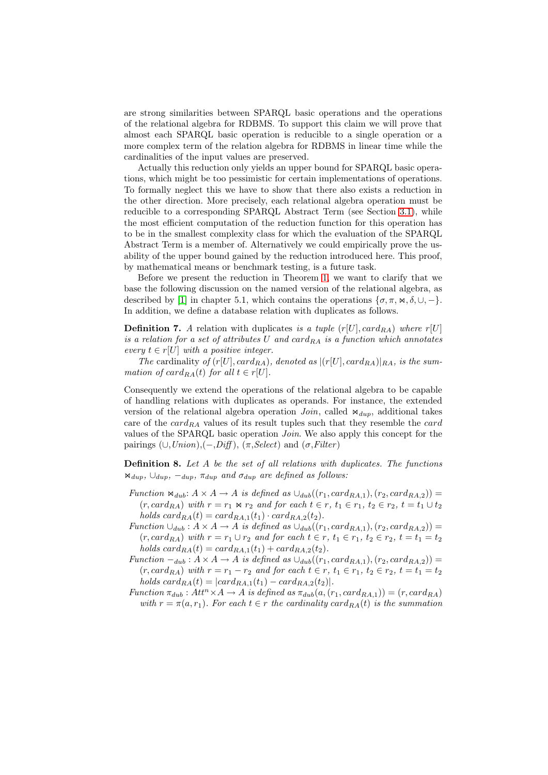are strong similarities between SPARQL basic operations and the operations of the relational algebra for RDBMS. To support this claim we will prove that almost each SPARQL basic operation is reducible to a single operation or a more complex term of the relation algebra for RDBMS in linear time while the cardinalities of the input values are preserved.

Actually this reduction only yields an upper bound for SPARQL basic operations, which might be too pessimistic for certain implementations of operations. To formally neglect this we have to show that there also exists a reduction in the other direction. More precisely, each relational algebra operation must be reducible to a corresponding SPARQL Abstract Term (see Section 3.1), while the most efficient computation of the reduction function for this operation has to be in the smallest complexity class for which the evaluation of the SPARQL Abstract Term is a member of. Alternatively we could empirically prove the usability of the upper bound gained by the reduction introduced here. [This](#page-2-0) proof, by mathematical means or benchmark testing, is a future task.

Before we present the reduction in Theorem 1, we want to clarify that we base the following discussion on the named version of the relational algebra, as described by [1] in chapter 5.1, which contains the operations  $\{\sigma, \pi, \aleph, \delta, \cup, -\}$ . In addition, we define a database relation with duplicates as follows.

**Definition 7.** A relation with d[up](#page-9-0)licates *is a tuple*  $(r[U], card_{RA})$  *where*  $r[U]$ *is a relation f[or](#page-14-0) a set of attributes U and cardRA is a function which annotates every*  $t \in r[U]$  *with a positive integer.* 

*The* cardinality of  $(r[U], card_{RA})$ , denoted as  $|(r[U], card_{RA})|_{RA}$ , is the sum*mation of card*<sub>*RA*</sub>(*t*) *for all*  $t \in r[U]$ *.* 

Consequently we extend the operations of the relational algebra to be capable of handling relations with duplicates as operands. For instance, the extended version of the relational algebra operation  $Join$ , called  $\Join_{dup}$ , additional takes care of the *cardRA* values of its result tuples such that they resemble the *card* values of the SPARQL basic operation *Join*. We also apply this concept for the pairings  $(\cup, Union), (-,Diff), (\pi, Select)$  and  $(\sigma,Filter)$ 

Definition 8. *Let A be the set of all relations with duplicates. The functions*  $\mathbb{E}\left[\mathbb{E}\left[\mathbb{E}\left[\mathbb{E}\left[\mathbb{E}\right]\right]\right] - \mathbb{E}\left[\mathbb{E}\left[\mathbb{E}\left[\mathbb{E}\right]\right]\right] - \mathbb{E}\left[\mathbb{E}\left[\mathbb{E}\left[\mathbb{E}\right]\right]\right] - \mathbb{E}\left[\mathbb{E}\left[\mathbb{E}\left[\mathbb{E}\right]\right]\right] - \mathbb{E}\left[\mathbb{E}\left[\mathbb{E}\left[\mathbb{E}\right]\right]\right] - \mathbb{E}\left[\mathbb{E}\left[\mathbb{E}\left[\mathbb{E}\right]\right]\right] - \mathbb{E}\left[\math$ 

- <span id="page-8-0"></span>*Function*  $\mathcal{A}_{dub}: A \times A \rightarrow A$  *is defined as*  $\cup_{dub}((r_1, card_{RA,1}), (r_2, card_{RA,2}))$  =  $(r, card_{RA})$  with  $r = r_1 \bowtie r_2$  and for each  $t \in r$ ,  $t_1 \in r_1$ ,  $t_2 \in r_2$ ,  $t = t_1 \cup t_2$ *holds*  $card_{RA}(t) = card_{RA,1}(t_1) \cdot card_{RA,2}(t_2)$ .
- $Function \cup_{dub} : A \times A \rightarrow A$  *is defined as*  $\cup_{dub}((r_1, card_{RA,1}), (r_2, card_{RA,2}))$  =  $(r, card_{RA})$  with  $r = r_1 \cup r_2$  and for each  $t \in r$ ,  $t_1 \in r_1$ ,  $t_2 \in r_2$ ,  $t = t_1 = t_2$  $holds \, card_{RA}(t) = card_{RA,1}(t_1) + card_{RA,2}(t_2).$
- $Function -<sub>dub</sub>: A \times A \rightarrow A$  *is defined as*  $\cup_{dub}((r_1, card_{RA,1}), (r_2, card_{RA,2}))$  =  $(r, card_{RA})$  with  $r = r_1 - r_2$  and for each  $t \in r$ ,  $t_1 \in r_1$ ,  $t_2 \in r_2$ ,  $t = t_1 = t_2$  $holds \, card_{RA}(t) = |card_{RA,1}(t_1) - card_{RA,2}(t_2)|.$
- $Function \pi_{dub}: Att^n \times A \rightarrow A$  *is defined as*  $\pi_{dub}(a, (r_1, card_{RA,1})) = (r, card_{RA})$ *with*  $r = \pi(a, r_1)$ *. For each*  $t \in r$  *the cardinality card*<sub>*RA*</sub> $(t)$  *is the summation*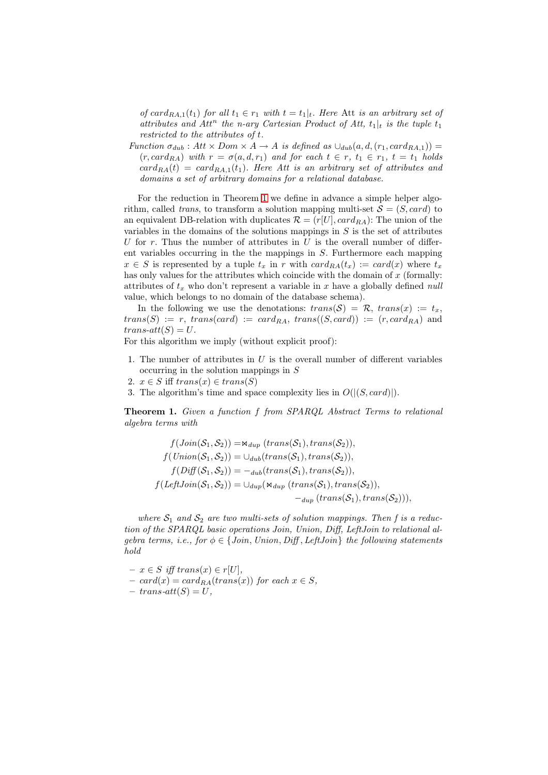*of*  $card_{RA,1}(t_1)$  *for all*  $t_1 \in r_1$  *with*  $t = t_1|_t$ *. Here* Att *is an arbitrary set of attributes and Att<sup>n</sup> the n-ary Cartesian Product of Att,*  $t_1|_t$  *is the tuple*  $t_1$ *restricted to the attributes of t.*

*Function*  $\sigma_{dub}$ :  $Att \times Dom \times A \rightarrow A$  *is defined as*  $\cup_{dub}(a, d, (r_1, card_{RA,1}))$  =  $(r, \text{card}_{RA})$  *with*  $r = \sigma(a, d, r_1)$  *and for each*  $t \in r$ ,  $t_1 \in r_1$ ,  $t = t_1$  *holds*  $card_{RA}(t) = card_{RA,1}(t_1)$ *. Here Att is an arbitrary set of attributes and domains a set of arbitrary domains for a relational database.*

For the reduction in Theorem 1 we define in advance a simple helper algorithm, called *trans*, to transform a solution mapping multi-set  $S = (S, \text{card})$  to an equivalent DB-relation with duplicates  $\mathcal{R} = (r|U|, card_{RA})$ : The union of the variables in the domains of the solutions mappings in *S* is the set of attributes *U* for *r*. Thus the number of att[rib](#page-9-0)utes in *U* is the overall number of different variables occurring in the the mappings in *S*. Furthermore each mapping  $x \in S$  is represented by a tuple  $t_x$  in *r* with  $card_{RA}(t_x) := card(x)$  where  $t_x$ has only values for the attributes which coincide with the domain of *x* (formally: attributes of *t<sup>x</sup>* who don't represent a variable in *x* have a globally defined *null* value, which belongs to no domain of the database schema).

In the following we use the denotations:  $trans(S) = \mathcal{R}$ ,  $trans(x) := t_x$ ,  $trans(S) := r$ ,  $trans(card) := card_{RA}$ ,  $trans((S, card)) := (r, card_{RA})$  and  $trans-att(S) = U$ .

For this algorithm we imply (without explicit proof):

- 1. The number of attributes in *U* is the overall number of different variables occurring in the solution mappings in *S*
- 2.  $x \in S$  iff  $trans(x) \in trans(S)$
- 3. The algorithm's time and space complexity lies in *O*(*|*(*S, card*)*|*).

Theorem 1. *Given a function f from SPARQL Abstract Terms to relational algebra terms with*

<span id="page-9-0"></span>
$$
f(Join(S_1, S_2)) = \mathbb{N}_{dup} (trans(S_1), trans(S_2)),
$$
  
\n
$$
f(Union(S_1, S_2)) = \cup_{dub}(trans(S_1), trans(S_2)),
$$
  
\n
$$
f(Diff(S_1, S_2)) = -_{dub}(trans(S_1), trans(S_2)),
$$
  
\n
$$
f(LeftJoin(S_1, S_2)) = \cup_{dup} (\mathbb{N}_{dup} (trans(S_1), trans(S_2)),
$$
  
\n
$$
-_{dup} (trans(S_1), trans(S_2))),
$$

where  $S_1$  and  $S_2$  are two multi-sets of solution mappings. Then f is a reduc*tion of the SPARQL basic operations Join, Union, Diff, LeftJoin to relational algebra terms, i.e., for*  $\phi \in \{Join, Union, Diff, LeftJoin\}$  *the following statements hold*

 $- x \in S$  *iff*  $trans(x) \in r[U],$  $card(x) = card_{RA}(trans(x))$  *for each*  $x \in S$ *,*  $-$ *trans* $-$ *att* $(S) = U$ *,*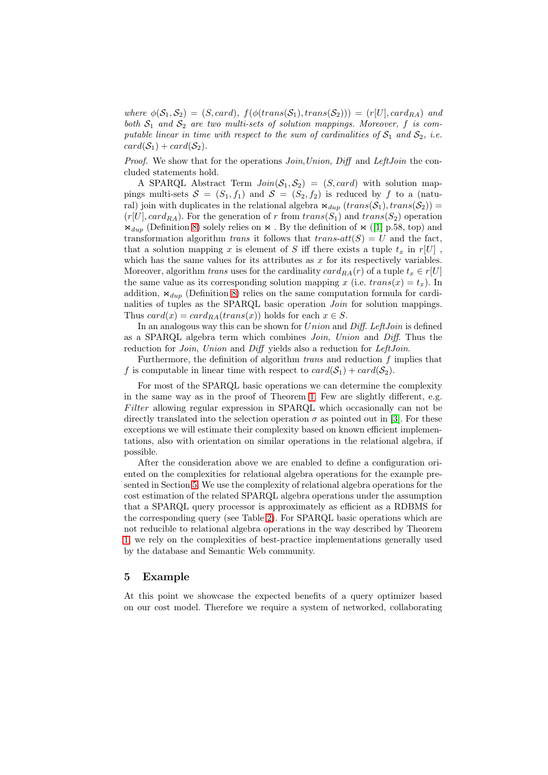*where*  $\phi(\mathcal{S}_1, \mathcal{S}_2) = (S, \text{card}), f(\phi(\text{trans}(\mathcal{S}_1), \text{trans}(\mathcal{S}_2))) = (r[U], \text{card}_{RA})$  and *both*  $S_1$  *and*  $S_2$  *are two multi-sets of solution mappings. Moreover,*  $f$  *is computable linear in time with respect to the sum of cardinalities of*  $S_1$  *and*  $S_2$ *, i.e.*  $card(\mathcal{S}_1) + card(\mathcal{S}_2)$ .

*Proof.* We show that for the operations *Join*,*Union*, *Diff* and *LeftJoin* the concluded statements hold.

A SPARQL Abstract Term  $Join(S_1, S_2) = (S, card)$  with solution mappings multi-sets  $S = (S_1, f_1)$  and  $S = (S_2, f_2)$  is reduced by f to a (natural) join with duplicates in the relational algebra  $\Join_{dup} (trans(S_1), trans(S_2)) =$  $(r[U], card_{RA})$ . For the generation of *r* from  $trans(S_1)$  and  $trans(S_2)$  operation  $\mathcal{A}_{dup}$  (Definition 8) solely relies on  $\mathcal{A}$ . By the definition of  $\mathcal{A}$  ([1] p.58, top) and transformation algorithm *trans* it follows that  $trans-att(S) = U$  and the fact, that a solution mapping x is element of S iff there exists a tuple  $t_x$  in  $r[U]$ , which has the same values for its attributes as *x* for its respectively variables. Moreover, algori[thm](#page-8-0) *trans* uses for the cardinality  $card_{RA}(r)$  of [a](#page-14-0) tuple  $t_x \in r[U]$ the same value as its corresponding solution mapping *x* (i.e.  $trans(x) = t_x$ ). In addition,  $\Join_{dup}$  (Definition 8) relies on the same computation formula for cardinalities of tuples as the SPARQL basic operation *Join* for solution mappings. Thus  $card(x) = card_{RA}(trans(x))$  holds for each  $x \in S$ .

In an analogous way this can be shown for *Union* and *Diff*. *LeftJoin* is defined as a SPARQL algebra ter[m](#page-8-0) which combines *Join*, *Union* and *Diff*. Thus the reduction for *Join*, *Union* and *Diff* yields also a reduction for *LeftJoin*.

Furthermore, the definition of algorithm *trans* and reduction *f* implies that *f* is computable in linear time with respect to  $card(S_1) + card(S_2)$ .

For most of the SPARQL basic operations we can determine the complexity in the same way as in the proof of Theorem 1. Few are slightly different, e.g. *F ilter* allowing regular expression in SPARQL which occasionally can not be directly translated into the selection operation  $\sigma$  as pointed out in [3]. For these exceptions we will estimate their complexity based on known efficient implementations, also with orientation on similar oper[ati](#page-9-0)ons in the relational algebra, if possible.

After the consideration above we are enabled to define a confi[gu](#page-15-7)ration oriented on the complexities for relational algebra operations for the example presented in Section 5. We use the complexity of relational algebra operations for the cost estimation of the related SPARQL algebra operations under the assumption that a SPARQL query processor is approximately as efficient as a RDBMS for the corresponding query (see Table 2). For SPARQL basic operations which are not reducible to [re](#page-10-0)lational algebra operations in the way described by Theorem 1, we rely on the complexities of best-practice implementations generally used by the database and Semantic Web community.

## [5](#page-9-0) Example

<span id="page-10-0"></span>At this point we showcase the expected benefits of a query optimizer based on our cost model. Therefore we require a system of networked, collaborating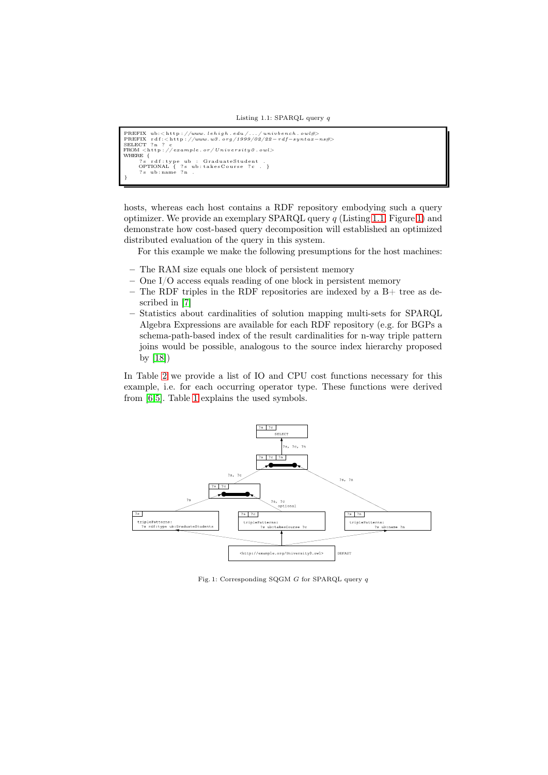```
PREFIX ub:<http://www.lehigh.edu/.../univbench.owl#><br>PREFIX rdf:<http://www.w3.org/1999/02/22-rdf-syntax-ns#><br>SELECT ?n ? c
FROM <http://example.or/University0.owl><br>
WHERE {<br>
?s rdf:type ub : GraduateStudent .<br>
OPTIONAL { ?s ub:takesCourse ?c . }<br>
?s ub:name ?n .
```
hosts, whereas each host contains a RDF repository embodying such a query optimizer. We provide an exemplary SPARQL query *q* (Listing 1.1, Figure 1) and demonstrate how cost-based query decomposition will established an optimized distributed evaluation of the query in this system.

For this example we make the following presumptions for the host machines:

- The RAM size equals one block of persistent memory
- One I/O access equals reading of one block in persistent memory
- The RDF triples in the RDF repositories are indexed by a  $B+$  tree as described in [7]
- Statistics about cardinalities of solution mapping multi-sets for SPARQL Algebra Expressions are available for each RDF repository (e.g. for BGPs a schema-path-based index of the result cardinalities for n-way triple pattern joins woul[d b](#page-15-12)e possible, analogous to the source index hierarchy proposed by [18])

In Table 2 we provide a list of IO and CPU cost functions necessary for this example, i.e. for each occurring operator type. These functions were derived from [6[,5\].](#page-15-13) Table 1 explains the used symbols.



<span id="page-11-1"></span>Fig. 1: Corresponding SQGM *G* for SPARQL query *q*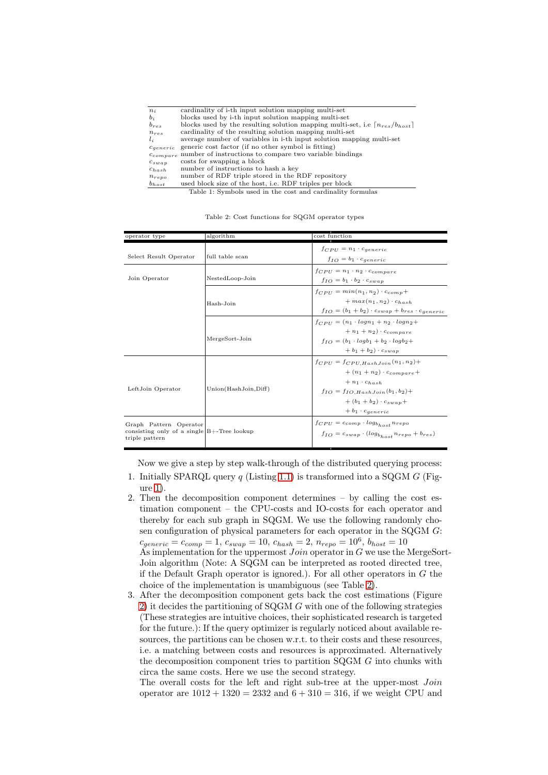| $n_i$                | cardinality of i-th input solution mapping multi-set                                          |
|----------------------|-----------------------------------------------------------------------------------------------|
| $b_i$                | blocks used by i-th input solution mapping multi-set                                          |
| $b_{res}$            | blocks used by the resulting solution mapping multi-set, i.e $\lceil n_{res}/b_{host} \rceil$ |
| $n_{res}$            | cardinality of the resulting solution mapping multi-set                                       |
| $l_{i}$              | average number of variables in i-th input solution mapping multi-set                          |
| $c_{\text{generic}}$ | generic cost factor (if no other symbol is fitting)                                           |
| $c_{compare}$        | number of instructions to compare two variable bindings                                       |
| $c_{swap}$           | costs for swapping a block                                                                    |
| $c_{hash}$           | number of instructions to hash a key                                                          |
| $n_{repo}$           | number of RDF triple stored in the RDF repository                                             |
| $b_{host}$           | used block size of the host, i.e. RDF triples per block                                       |
|                      | Table 1: Symbols used in the cost and cardinality formulas                                    |

Table 2: Cost functions for SQGM operator types

<span id="page-12-0"></span>

| operator type                                                                             | algorithm            | cost function                                                                                                                                                                                                        |
|-------------------------------------------------------------------------------------------|----------------------|----------------------------------------------------------------------------------------------------------------------------------------------------------------------------------------------------------------------|
| Select Result Operator                                                                    | full table scan      | $f_{CPU} = n_1 \cdot c_{generic}$<br>$f_{IO} = b_1 \cdot c_{generic}$                                                                                                                                                |
| Join Operator                                                                             | NestedLoop-Join      | $f_{CPU} = n_1 \cdot n_2 \cdot c_{compare}$<br>$f_{IO} = b_1 \cdot b_2 \cdot c_{swap}$                                                                                                                               |
|                                                                                           | Hash-Join            | $f_{CPII} = min(n_1, n_2) \cdot c_{comn} +$<br>$+ max(n_1, n_2) \cdot c_{hash}$<br>$f_{IO} = (b_1 + b_2) \cdot c_{swap} + b_{res} \cdot c_{generic}$                                                                 |
|                                                                                           | MergeSort-Join       | $f_{CPII} = (n_1 \cdot log n_1 + n_2 \cdot log n_2 +$<br>$+n_1+n_2$ $\cdot$ $c_{compare}$<br>$f_{IO} = (b_1 \cdot log b_1 + b_2 \cdot log b_2 +$<br>$+b_1+b_2\}\cdot c_{swan}$                                       |
| LeftJoin Operator                                                                         | Union(HashJoin,Diff) | $f_{CPU} = f_{CPU, HashJoin}(n_1, n_2) +$<br>$+(n_1+n_2)\cdot c_{compare}$<br>$+ n_1 \cdot c_{hash}$<br>$f_{IO} = f_{IO}$ . Hash Join $(b_1, b_2)$ +<br>$+(b_1 + b_2) \cdot c_{swan} +$<br>$+ b_1 \cdot c_{generic}$ |
| Graph Pattern Operator<br>consisting only of a single $B+$ -Tree lookup<br>triple pattern |                      | $f_{CPU} = c_{comp} \cdot log_{b_{host}} n_{repo}$<br>$f_{IO} = c_{swap} \cdot (log_{b_{host}} n_{repo} + b_{res})$                                                                                                  |

Now we give a step by step walk-through of the distributed querying process:

- 1. Initially SPARQL query *q* (Listing 1.1) is transformed into a SQGM *G* (Figure 1).
- 2. Then the decomposition component determines by calling the cost estimation component – the CPU-costs and IO-costs for each operator and thereby for each sub graph in SQ[GM.](#page-11-0) We use the following randomly chosen [co](#page-11-1)nfiguration of physical parameters for each operator in the SQGM *G*:  $c_{generic} = c_{comp} = 1, c_{swap} = 10, c_{hash} = 2, n_{repo} = 10^6, b_{host} = 10$ As implementation for the uppermost *Join* operator in *G* we use the MergeSort-Join algorithm (Note: A SQGM can be interpreted as rooted directed tree, if the Default Graph operator is ignored.). For all other operators in *G* the

choice of the implementation is unambiguous (see Table 2).

3. After the decomposition component gets back the cost estimations (Figure 2) it decides the partitioning of SQGM *G* with one of the following strategies (These strategies are intuitive choices, their sophisticated research is targeted for the future.): If the query optimizer is regularly notice[d a](#page-12-0)bout available resources, the partitions can be chosen w.r.t. to their costs and these resources, [i.e](#page-13-0). a matching between costs and resources is approximated. Alternatively the decomposition component tries to partition SQGM *G* into chunks with circa the same costs. Here we use the second strategy.

The overall costs for the left and right sub-tree at the upper-most *Join* operator are  $1012 + 1320 = 2332$  and  $6 + 310 = 316$ , if we weight CPU and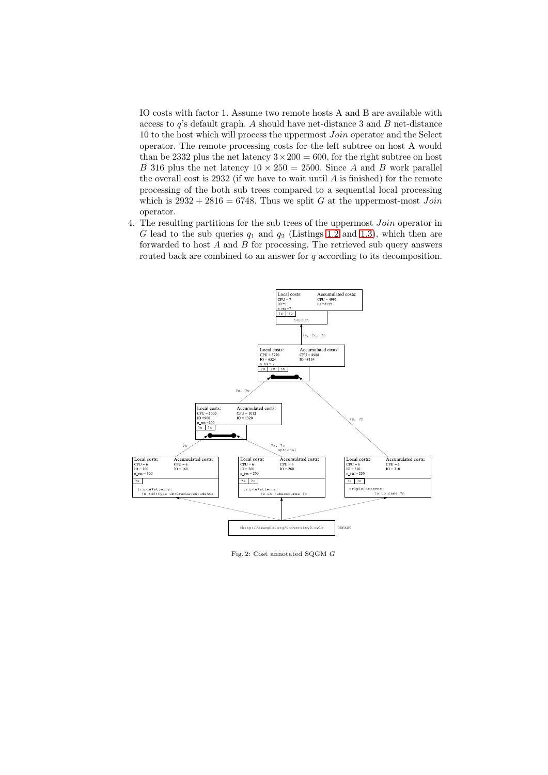IO costs with factor 1. Assume two remote hosts A and B are available with access to *q*'s default graph. *A* should have net-distance 3 and *B* net-distance 10 to the host which will process the uppermost *Join* operator and the Select operator. The remote processing costs for the left subtree on host A would than be 2332 plus the net latency  $3 \times 200 = 600$ , for the right subtree on host *B* 316 plus the net latency  $10 \times 250 = 2500$ . Since *A* and *B* work parallel the overall cost is 2932 (if we have to wait until *A* is finished) for the remote processing of the both sub trees compared to a sequential local processing which is  $2932 + 2816 = 6748$ . Thus we split *G* at the uppermost-most *Join* operator.

4. The resulting partitions for the sub trees of the uppermost *Join* operator in *G* lead to the sub queries *q*<sup>1</sup> and *q*<sup>2</sup> (Listings 1.2 and 1.3), which then are forwarded to host *A* and *B* for processing. The retrieved sub query answers routed back are combined to an answer for *q* according to its decomposition.



<span id="page-13-0"></span>Fig. 2: Cost annotated SQGM *G*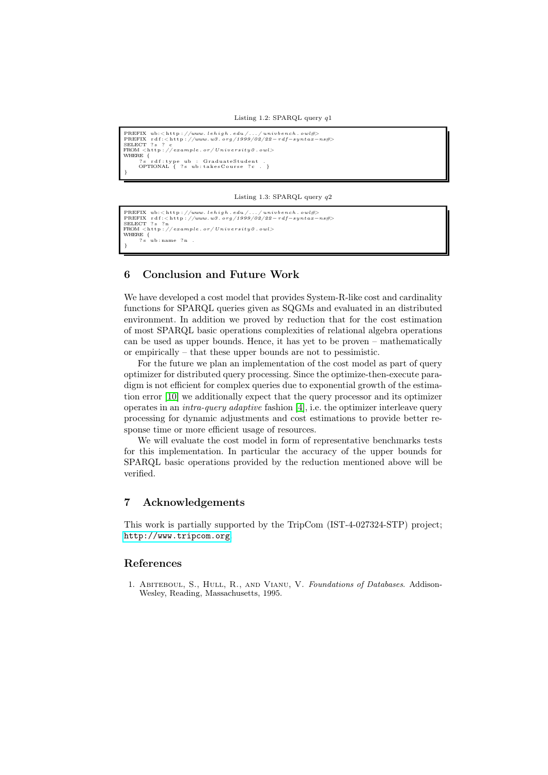```
PREFIX ub:<http://www.lehigh.edu/.../univbench.owl#><br>PREFIX rdf:<http://www.w3.org/1999/02/22-rdf-syntax-ns#><br>SELECT ?s ? c
FROM \langle http://example.or/University0.owl><br>WHERE {<br><sup>7</sup>s rdf:type ub : GraduateStudent .<br>OPTIONAL { ?s ub:takesCourse ?c . }<br>}
```
Listing 1.3: SPARQL query *q*2

```
PREFIX ub:<http://www.lehigh.edu/.../univbench.owl#><br>PREFIX rdf:<http://www.w3.org/1999/02/22-rdf-syntax-ns#><br>SELECT ?s ?n
FROM <h t t p : // examp le . or / U n i v e r s i t y 0 . owl>
WHERE {<br>
?s ub:name ?n .
}
```
# 6 Conclusion and Future Work

We have developed a cost model that provides System-R-like cost and cardinality functions for SPARQL queries given as SQGMs and evaluated in an distributed environment. In addition we proved by reduction that for the cost estimation of most SPARQL basic operations complexities of relational algebra operations can be used as upper bounds. Hence, it has yet to be proven – mathematically or empirically – that these upper bounds are not to pessimistic.

For the future we plan an implementation of the cost model as part of query optimizer for distributed query processing. Since the optimize-then-execute paradigm is not efficient for complex queries due to exponential growth of the estimation error [10] we additionally expect that the query processor and its optimizer operates in an *intra-query adaptive* fashion [4], i.e. the optimizer interleave query processing for dynamic adjustments and cost estimations to provide better response time or more efficient usage of resources.

We wil[l ev](#page-15-14)aluate the cost model in form of representative benchmarks tests for this implementation. In particular th[e a](#page-15-0)ccuracy of the upper bounds for SPARQL basic operations provided by the reduction mentioned above will be verified.

# 7 Acknowledgements

This work is partially supported by the TripCom (IST-4-027324-STP) project; http://www.tripcom.org.

### References

<span id="page-14-0"></span>1. [Abiteboul, S., Hull, R](http://www.tripcom.org)., and Vianu, V. *Foundations of Databases*. Addison-Wesley, Reading, Massachusetts, 1995.